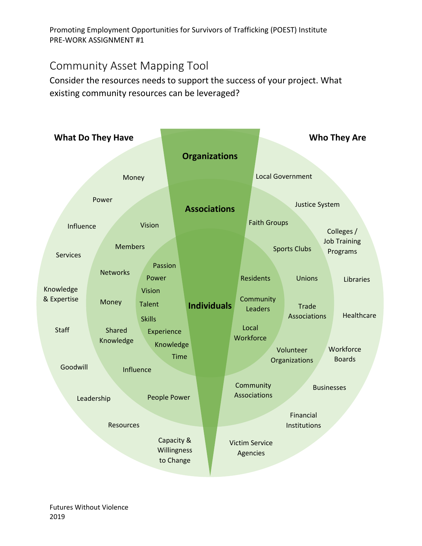Promoting Employment Opportunities for Survivors of Trafficking (POEST) Institute PRE-WORK ASSIGNMENT #1

## Community Asset Mapping Tool

Consider the resources needs to support the success of your project. What existing community resources can be leveraged?